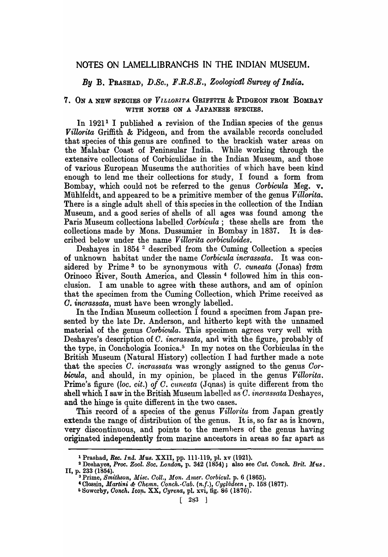# NOTES ON LAMELLIBRANCHS IN THE INDIAN MUSEUM.

## *By* B. PRASHAD, *D.Se., F.R.S.E., Zoologicdl Survey of India.*

## 7. ON A NEW SPECIES OF *VILLORITA* GRIFFITH & PIDGEON FROM BOMBAY WITH NOTES ON A JAPANESE SPECIES.

In 1921<sup>1</sup> I published a revision of the Indian species of the genus *Villorita* Griffith & Pidgeon, and from the available records concluded that species of this genus are confined to the brackish water areas on the Malabar Coast of Peninsular India. While working through the extensive collections of Corbiculidae in the Indian Museum, and those of various European Museums the authorities of which have been kind enough to lend me their collections for study, I found a form from Bombay, which could not be referred to the genus *Oorbicula* Meg. v. Miihlfeldt, and appeared to be a primitive member of the genus *Villorita.*  There is a single adult shell of this species in the collection of the Indian Museum, and a good series of shells of all ages was found among the Paris Museum collections labelled *Oorbicula;* these shells are from the collections made by Mons. Dussumier in Bombay in 1837. It is described below under the name *Villorita corbiculoides.* 

Deshayes in 1854 2 described from the Cuming Collection a species of unknown habitat under the name *Oorbicula incrassata.* It was considered by Prime 3 to be synonymous with *O. euneata* (Jonas) from Orinoco River, South America, and Clessin 4 followed him in this conclusion. I am unable to agree with these authors, and am of opinion that the specimen from the Cuming Collection, which Prime received as *O. incrassata,* must have been wrongly labelled.

In the Indian Museum collection I found a specimen from Japan presented by the late Dr. Anderson, and hitherto kept with the unnamed material of the genus *Corbicula*. This specimen agrees very well with Deshayes's description of *C. incrassata*, and with the figure, probably of the type, in Conchologia Iconica.5 In my notes on the Corbiculas in the British Museum (Natural History) collection I had further made a note that the species *O. incrassata* was wrongly assigned to the genus *Oorbicula,* and should, in my opinion, be placed in the genus *Villorita.*  Prime's figure *(loc. c'it.) of O. cuneata* (Jqnas) is quite different from the shell which I saw in the British Museum labelled as *O. incrassata* Deshayes, and the hinge is quite different in the two cases.

This record of a species of the genus *Villorita* from Japan greatly extends the range of distribution of the genus. It is, so far as is known, very discontinuous, and points to the memhers of the genus having originated independently from marine ancestors in areas so far apart as

<sup>&</sup>lt;sup>1</sup> Prashad, *Rec. Ind. Mus.* XXII, pp. 111-119, pl. xv (1921).<br><sup>3</sup> Deshayes, *Proc. Zool. Soc. London*, p. 342 (1854); also see *Cat. Conch. Brit. Mus*. II, p. 233 (1854).

<sup>&</sup>lt;sup>3</sup> Prime, *Smithson, Misc. Coll., Mon. Amer. Corbicul.* p. 6 (1865).

<sup>&</sup>lt;sup>4</sup> Clessin, *Martini & Chemn. Conch. Cab.* (n.f.), Cycladeen, p. 158 (1877). o Sowcrby, *Ooneh. lco'll.* XX, *Oyrena,* pl. xvi, fig. 86 (1876).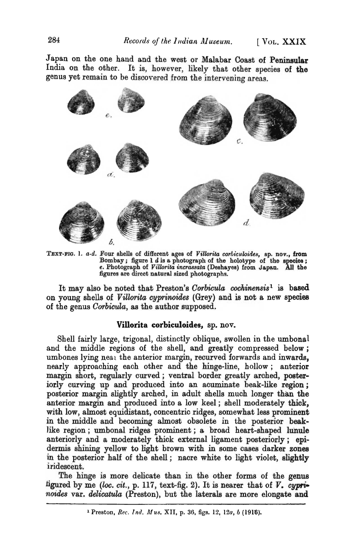Japan on the one hand and the west or Malabar Coast of Peninsular India on the other. It is, however, likely that other species of the genus yet remain to be discovered from the intervening areas.



TEXT-FIG. 1. a-d. Four shells of different ages of *Villorita corbiculoides*, sp. nov., from Bombay; figure 1  $d$  is a photograph of the holotype of the species; e. Photograph of *Villorita incrassata* (Deshayes) from Japan. All the figures are direct natural sized photographs.

It may also be noted that Preston's *Corbicula cochinensis*<sup>1</sup> is based on young shells of *Villorita cyprinoides* (Grey) and is not a new species of the genus *Corbicula*, as the author supposed.

#### Villorita corbiculoides, sp. nov.

Shell fairly large, trigonal, distinctly oblique, swollen in the umbonal and the middle regions of the shell, and greatly compressed below; umbones lying neal the anterior margin, recurved forwards and inwards, nearly approaching each other and the hinge-line, hollow; anterior margin short, regularly curved; ventral border greatly arched, poster iorly curving up and produced into an acuminate beak-like region; posterior margin slightly arched, in adult shells much longer than the anterior margin and produced into a low keel; shell moderately thick, with low, almost equidistant, concentric ridges, somewhat less prominent in the middle and becoming almost obsolete in the posterior beaklike region; umbonal ridges prominent; a broad heart-shaped lunule anteriorly and a moderately thick external ligament posteriorly; epidermis shining yellow to light brown with in some cases darker zones in the posterior half of the shell; nacre white to light violet, slightly iridescent.

The hinge is more delicate than in the other forms of the genus figured by me (loc. cit., p. 117, text-fig. 2). It is nearer that of V. cypri*noides* var. *delicatula* (Preston), but the laterals are more elongate and

<sup>1</sup> Preston, Rec. Ind. *Mus.* XII, p. 36, figs. 12, 12a, *b* (1916).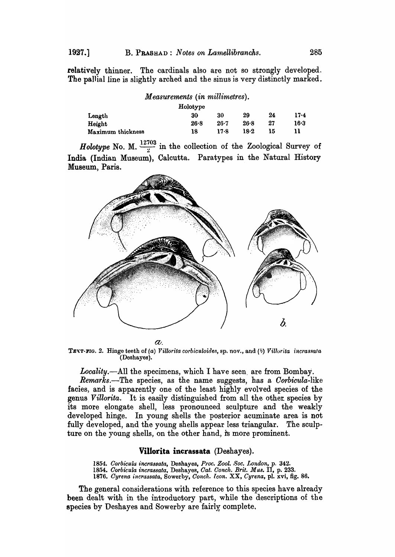relatively thinner. The cardinals also are not so strongly developed. The pallial line is slightly arched and the sinus is very distinctly marked.

| Measurements (in millimetres).<br>Holotype |      |          |      |    |      |
|--------------------------------------------|------|----------|------|----|------|
|                                            |      |          |      |    |      |
| Height                                     | 26.8 | $26 - 7$ | 26.8 | 27 | 16.3 |
| Maximum thickness                          | 18   | 17.8     | 18.2 | 15 |      |

*Holotype* No. M.  $\frac{12703}{2}$  in the collection of the Zoological Survey of India (Indian Museum), Calcutta. Paratypes in the Natural History Museum, Paris.



 $a<sub>l</sub>$ 

TEXT-FIG. 2. Hinge teeth of (a) Villorita corbiculoides, sp. nov., and (b) Villorita incrassata (Deshayes).

Locality.--All the specimens, which I have seen, are from Bombay.

*Remarks.-The* species, as the name suggests, has a *Oorbicula-like*  facies, and is apparently one of the least highly evolved species of the genus *Villorita.* It is easily distinguished from all the other. species by its more elongate shell, less pronounced sculpture and the weakly developed hinge. In young shells the posterior acuminate area is not fully developed, and the young shells appear less triangular. The sculpture on the young shells, on the other hand, is more prominent.

#### Villorita incrassata (Deshayes).

*1854. Corbt'culu incrassata,* Deshayes, *Prot. Zool. Soc. London,* p. 342. *1854. Oorbicula incrassata,* Deshayes, *Oat. Oonch. Brit. Mus.* IT, p. 233. *1876. Oyrenaincra88ata,* Sowerby, *Oondl. leon.* XX, *Cyrena,* pl. xvi, fig. 86.

The general considerations with reference to this species have already been dealt with in the introductory part, while the descriptions of the species by Deshayes and Sowerby are fairly complete.